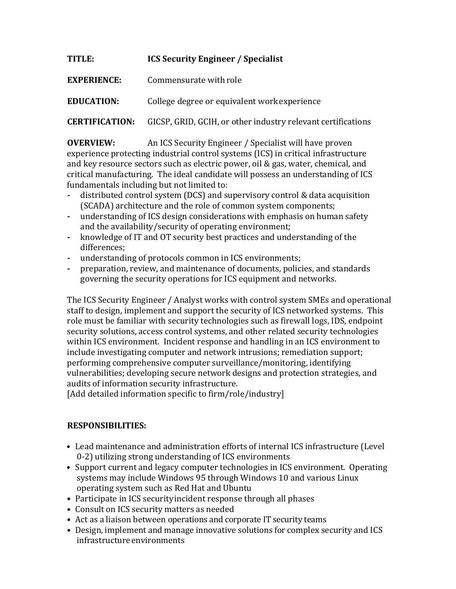## TITLE: **ICS** Security Engineer / Specialist

**EXPERIENCE:** Commensurate with role

**EDUCATION:** College degree or equivalent work experience

**CERTIFICATION:** GICSP, GRID, GCIH, or other industry relevant certifications

**OVERVIEW:** An ICS Security Engineer / Specialist will have proven experience protecting industrial control systems (ICS) in critical infrastructure and key resource sectors such as electric power, oil & gas, water, chemical, and critical manufacturing. The ideal candidate will possess an understanding of ICS fundamentals including but not limited to:

- distributed control system (DCS) and supervisory control & data acquisition (SCADA) architecture and the role of common system components;
- understanding of ICS design considerations with emphasis on human safety and the availability/security of operating environment;
- knowledge of IT and OT security best practices and understanding of the differences;
- understanding of protocols common in ICS environments;
- preparation, review, and maintenance of documents, policies, and standards governing the security operations for ICS equipment and networks.

The ICS Security Engineer / Analyst works with control system SMEs and operational staff to design, implement and support the security of ICS networked systems. This role must be familiar with security technologies such as firewall logs, IDS, endpoint security solutions, access control systems, and other related security technologies within ICS environment. Incident response and handling in an ICS environment to include investigating computer and network intrusions; remediation support; performing comprehensive computer surveillance/monitoring, identifying vulnerabilities; developing secure network designs and protection strategies, and audits of information security infrastructure.

[Add detailed information specific to firm/role/industry]

## **RESPONSIBILITIES:**

- Lead maintenance and administration efforts of internal ICS infrastructure (Level 0-2) utilizing strong understanding of ICS environments
- Support current and legacy computer technologies in ICS environment. Operating systems may include Windows 95 through Windows 10 and various Linux operating system such as Red Hat and Ubuntu
- Participate in ICS security incident response through all phases
- Consult on ICS security matters as needed
- Act as a liaison between operations and corporate IT security teams
- Design, implement and manage innovative solutions for complex security and ICS infrastructureenvironments